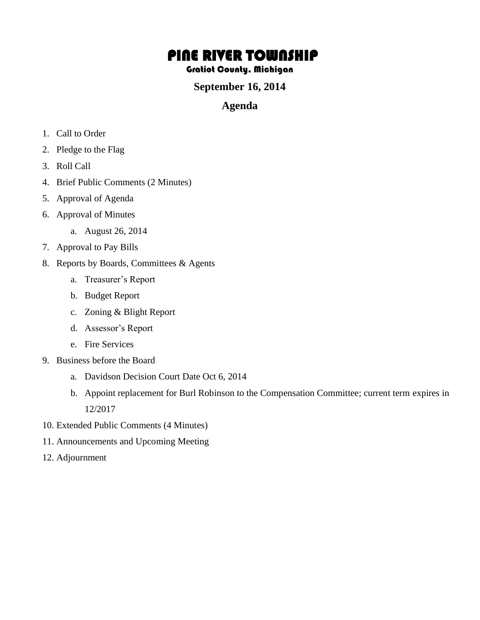# PINE RIVER TOWNSHIP

#### Gratiot County, Michigan

## **September 16, 2014**

### **Agenda**

- 1. Call to Order
- 2. Pledge to the Flag
- 3. Roll Call
- 4. Brief Public Comments (2 Minutes)
- 5. Approval of Agenda
- 6. Approval of Minutes
	- a. August 26, 2014
- 7. Approval to Pay Bills
- 8. Reports by Boards, Committees & Agents
	- a. Treasurer's Report
	- b. Budget Report
	- c. Zoning & Blight Report
	- d. Assessor's Report
	- e. Fire Services
- 9. Business before the Board
	- a. Davidson Decision Court Date Oct 6, 2014
	- b. Appoint replacement for Burl Robinson to the Compensation Committee; current term expires in 12/2017
- 10. Extended Public Comments (4 Minutes)
- 11. Announcements and Upcoming Meeting
- 12. Adjournment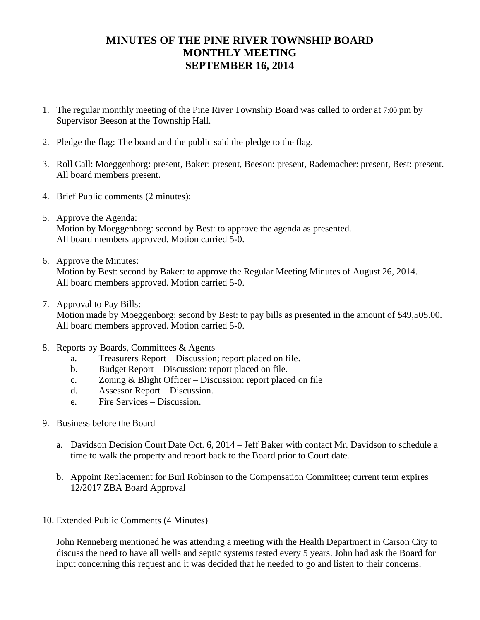# **MINUTES OF THE PINE RIVER TOWNSHIP BOARD MONTHLY MEETING SEPTEMBER 16, 2014**

- 1. The regular monthly meeting of the Pine River Township Board was called to order at 7:00 pm by Supervisor Beeson at the Township Hall.
- 2. Pledge the flag: The board and the public said the pledge to the flag.
- 3. Roll Call: Moeggenborg: present, Baker: present, Beeson: present, Rademacher: present, Best: present. All board members present.
- 4. Brief Public comments (2 minutes):
- 5. Approve the Agenda: Motion by Moeggenborg: second by Best: to approve the agenda as presented. All board members approved. Motion carried 5-0.
- 6. Approve the Minutes:

Motion by Best: second by Baker: to approve the Regular Meeting Minutes of August 26, 2014. All board members approved. Motion carried 5-0.

7. Approval to Pay Bills:

Motion made by Moeggenborg: second by Best: to pay bills as presented in the amount of \$49,505.00. All board members approved. Motion carried 5-0.

- 8. Reports by Boards, Committees & Agents
	- a. Treasurers Report Discussion; report placed on file.
	- b. Budget Report Discussion: report placed on file.
	- c. Zoning & Blight Officer Discussion: report placed on file
	- d. Assessor Report Discussion.
	- e. Fire Services Discussion.
- 9. Business before the Board
	- a. Davidson Decision Court Date Oct. 6, 2014 Jeff Baker with contact Mr. Davidson to schedule a time to walk the property and report back to the Board prior to Court date.
	- b. Appoint Replacement for Burl Robinson to the Compensation Committee; current term expires 12/2017 ZBA Board Approval
- 10. Extended Public Comments (4 Minutes)

John Renneberg mentioned he was attending a meeting with the Health Department in Carson City to discuss the need to have all wells and septic systems tested every 5 years. John had ask the Board for input concerning this request and it was decided that he needed to go and listen to their concerns.